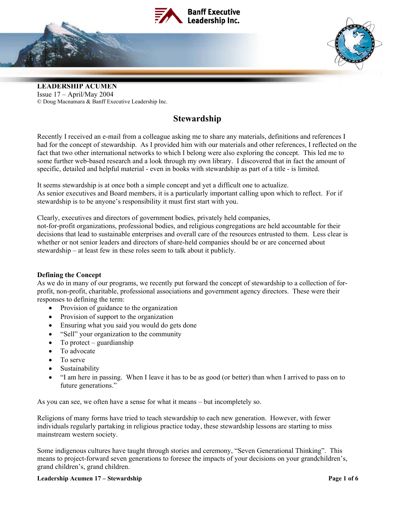



# **Stewardship**

Recently I received an e-mail from a colleague asking me to share any materials, definitions and references I had for the concept of stewardship. As I provided him with our materials and other references, I reflected on the fact that two other international networks to which I belong were also exploring the concept. This led me to some further web-based research and a look through my own library. I discovered that in fact the amount of specific, detailed and helpful material - even in books with stewardship as part of a title - is limited.

It seems stewardship is at once both a simple concept and yet a difficult one to actualize. As senior executives and Board members, it is a particularly important calling upon which to reflect. For if stewardship is to be anyone's responsibility it must first start with you.

Clearly, executives and directors of government bodies, privately held companies,

not-for-profit organizations, professional bodies, and religious congregations are held accountable for their decisions that lead to sustainable enterprises and overall care of the resources entrusted to them. Less clear is whether or not senior leaders and directors of share-held companies should be or are concerned about stewardship – at least few in these roles seem to talk about it publicly.

#### **Defining the Concept**

As we do in many of our programs, we recently put forward the concept of stewardship to a collection of forprofit, non-profit, charitable, professional associations and government agency directors. These were their responses to defining the term:

- Provision of guidance to the organization
- Provision of support to the organization
- Ensuring what you said you would do gets done
- "Sell" your organization to the community
- To protect guardianship
- To advocate
- To serve
- Sustainability
- "I am here in passing. When I leave it has to be as good (or better) than when I arrived to pass on to future generations."

As you can see, we often have a sense for what it means – but incompletely so.

Religions of many forms have tried to teach stewardship to each new generation. However, with fewer individuals regularly partaking in religious practice today, these stewardship lessons are starting to miss mainstream western society.

Some indigenous cultures have taught through stories and ceremony, "Seven Generational Thinking". This means to project-forward seven generations to foresee the impacts of your decisions on your grandchildren's, grand children's, grand children.

#### **Leadership Acumen 17 – Stewardship** *Page 1 of 6* $\blacksquare$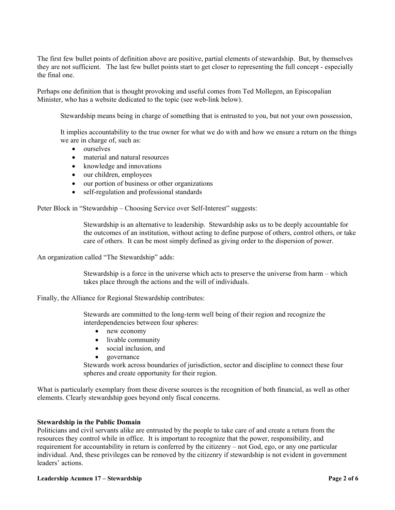The first few bullet points of definition above are positive, partial elements of stewardship. But, by themselves they are not sufficient. The last few bullet points start to get closer to representing the full concept - especially the final one.

Perhaps one definition that is thought provoking and useful comes from Ted Mollegen, an Episcopalian Minister, who has a website dedicated to the topic (see web-link below).

Stewardship means being in charge of something that is entrusted to you, but not your own possession,

It implies accountability to the true owner for what we do with and how we ensure a return on the things we are in charge of, such as:

- ourselves
- material and natural resources
- knowledge and innovations
- our children, employees
- our portion of business or other organizations
- self-regulation and professional standards

Peter Block in "Stewardship – Choosing Service over Self-Interest" suggests:

 Stewardship is an alternative to leadership. Stewardship asks us to be deeply accountable for the outcomes of an institution, without acting to define purpose of others, control others, or take care of others. It can be most simply defined as giving order to the dispersion of power.

An organization called "The Stewardship" adds:

 Stewardship is a force in the universe which acts to preserve the universe from harm – which takes place through the actions and the will of individuals.

Finally, the Alliance for Regional Stewardship contributes:

 Stewards are committed to the long-term well being of their region and recognize the interdependencies between four spheres:

- new economy
- livable community
- social inclusion, and
- governance

Stewards work across boundaries of jurisdiction, sector and discipline to connect these four spheres and create opportunity for their region.

What is particularly exemplary from these diverse sources is the recognition of both financial, as well as other elements. Clearly stewardship goes beyond only fiscal concerns.

#### **Stewardship in the Public Domain**

Politicians and civil servants alike are entrusted by the people to take care of and create a return from the resources they control while in office. It is important to recognize that the power, responsibility, and requirement for accountability in return is conferred by the citizenry – not God, ego, or any one particular individual. And, these privileges can be removed by the citizenry if stewardship is not evident in government leaders' actions.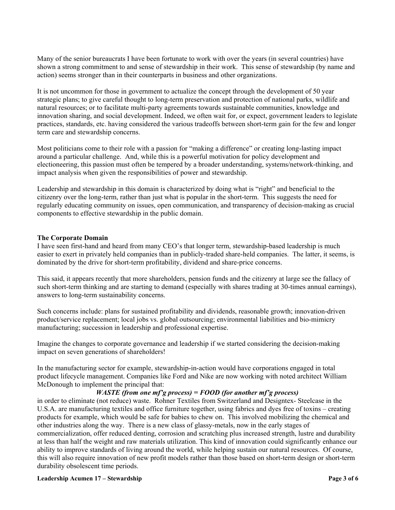Many of the senior bureaucrats I have been fortunate to work with over the years (in several countries) have shown a strong commitment to and sense of stewardship in their work. This sense of stewardship (by name and action) seems stronger than in their counterparts in business and other organizations.

It is not uncommon for those in government to actualize the concept through the development of 50 year strategic plans; to give careful thought to long-term preservation and protection of national parks, wildlife and natural resources; or to facilitate multi-party agreements towards sustainable communities, knowledge and innovation sharing, and social development. Indeed, we often wait for, or expect, government leaders to legislate practices, standards, etc. having considered the various tradeoffs between short-term gain for the few and longer term care and stewardship concerns.

Most politicians come to their role with a passion for "making a difference" or creating long-lasting impact around a particular challenge. And, while this is a powerful motivation for policy development and electioneering, this passion must often be tempered by a broader understanding, systems/network-thinking, and impact analysis when given the responsibilities of power and stewardship.

Leadership and stewardship in this domain is characterized by doing what is "right" and beneficial to the citizenry over the long-term, rather than just what is popular in the short-term. This suggests the need for regularly educating community on issues, open communication, and transparency of decision-making as crucial components to effective stewardship in the public domain.

#### **The Corporate Domain**

I have seen first-hand and heard from many CEO's that longer term, stewardship-based leadership is much easier to exert in privately held companies than in publicly-traded share-held companies. The latter, it seems, is dominated by the drive for short-term profitability, dividend and share-price concerns.

This said, it appears recently that more shareholders, pension funds and the citizenry at large see the fallacy of such short-term thinking and are starting to demand (especially with shares trading at 30-times annual earnings), answers to long-term sustainability concerns.

Such concerns include: plans for sustained profitability and dividends, reasonable growth; innovation-driven product/service replacement; local jobs vs. global outsourcing; environmental liabilities and bio-mimicry manufacturing; succession in leadership and professional expertise.

Imagine the changes to corporate governance and leadership if we started considering the decision-making impact on seven generations of shareholders!

In the manufacturing sector for example, stewardship-in-action would have corporations engaged in total product lifecycle management. Companies like Ford and Nike are now working with noted architect William McDonough to implement the principal that:

#### *WASTE (from one mf'g process) = FOOD (for another mf'g process)*

in order to eliminate (not reduce) waste. Rohner Textiles from Switzerland and Designtex- Steelcase in the U.S.A. are manufacturing textiles and office furniture together, using fabrics and dyes free of toxins – creating products for example, which would be safe for babies to chew on. This involved mobilizing the chemical and other industries along the way. There is a new class of glassy-metals, now in the early stages of commercialization, offer reduced denting, corrosion and scratching plus increased strength, lustre and durability at less than half the weight and raw materials utilization. This kind of innovation could significantly enhance our ability to improve standards of living around the world, while helping sustain our natural resources. Of course, this will also require innovation of new profit models rather than those based on short-term design or short-term durability obsolescent time periods.

#### **Leadership Acumen 17 – Stewardship** *Page 3 of 6* $\blacksquare$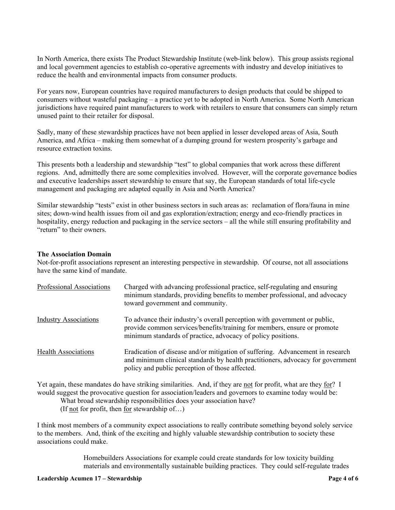In North America, there exists The Product Stewardship Institute (web-link below). This group assists regional and local government agencies to establish co-operative agreements with industry and develop initiatives to reduce the health and environmental impacts from consumer products.

For years now, European countries have required manufacturers to design products that could be shipped to consumers without wasteful packaging – a practice yet to be adopted in North America. Some North American jurisdictions have required paint manufacturers to work with retailers to ensure that consumers can simply return unused paint to their retailer for disposal.

Sadly, many of these stewardship practices have not been applied in lesser developed areas of Asia, South America, and Africa – making them somewhat of a dumping ground for western prosperity's garbage and resource extraction toxins.

This presents both a leadership and stewardship "test" to global companies that work across these different regions. And, admittedly there are some complexities involved. However, will the corporate governance bodies and executive leaderships assert stewardship to ensure that say, the European standards of total life-cycle management and packaging are adapted equally in Asia and North America?

Similar stewardship "tests" exist in other business sectors in such areas as: reclamation of flora/fauna in mine sites; down-wind health issues from oil and gas exploration/extraction; energy and eco-friendly practices in hospitality, energy reduction and packaging in the service sectors – all the while still ensuring profitability and "return" to their owners.

#### **The Association Domain**

Not-for-profit associations represent an interesting perspective in stewardship. Of course, not all associations have the same kind of mandate.

| Professional Associations    | Charged with advancing professional practice, self-regulating and ensuring<br>minimum standards, providing benefits to member professional, and advocacy<br>toward government and community.                          |
|------------------------------|-----------------------------------------------------------------------------------------------------------------------------------------------------------------------------------------------------------------------|
| <b>Industry Associations</b> | To advance their industry's overall perception with government or public,<br>provide common services/benefits/training for members, ensure or promote<br>minimum standards of practice, advocacy of policy positions. |
| <b>Health Associations</b>   | Eradication of disease and/or mitigation of suffering. Advancement in research<br>and minimum clinical standards by health practitioners, advocacy for government<br>policy and public perception of those affected.  |

Yet again, these mandates do have striking similarities. And, if they are not for profit, what are they for? I would suggest the provocative question for association/leaders and governors to examine today would be:

What broad stewardship responsibilities does your association have?

(If not for profit, then for stewardship of…)

I think most members of a community expect associations to really contribute something beyond solely service to the members. And, think of the exciting and highly valuable stewardship contribution to society these associations could make.

> Homebuilders Associations for example could create standards for low toxicity building materials and environmentally sustainable building practices. They could self-regulate trades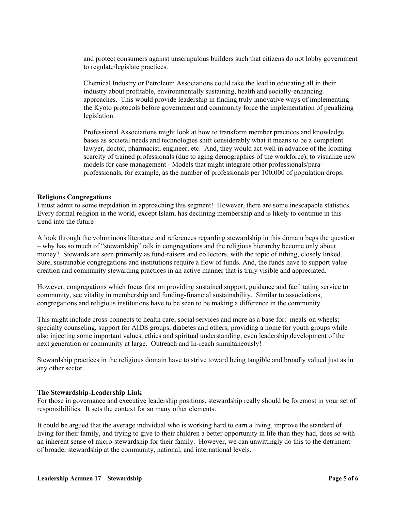and protect consumers against unscrupulous builders such that citizens do not lobby government to regulate/legislate practices.

 Chemical Industry or Petroleum Associations could take the lead in educating all in their industry about profitable, environmentally sustaining, health and socially-enhancing approaches. This would provide leadership in finding truly innovative ways of implementing the Kyoto protocols before government and community force the implementation of penalizing legislation.

 Professional Associations might look at how to transform member practices and knowledge bases as societal needs and technologies shift considerably what it means to be a competent lawyer, doctor, pharmacist, engineer, etc. And, they would act well in advance of the looming scarcity of trained professionals (due to aging demographics of the workforce), to visualize new models for case management - Models that might integrate other professionals/paraprofessionals, for example, as the number of professionals per 100,000 of population drops.

#### **Religions Congregations**

I must admit to some trepidation in approaching this segment! However, there are some inescapable statistics. Every formal religion in the world, except Islam, has declining membership and is likely to continue in this trend into the future

A look through the voluminous literature and references regarding stewardship in this domain begs the question – why has so much of "stewardship" talk in congregations and the religious hierarchy become only about money? Stewards are seen primarily as fund-raisers and collectors, with the topic of tithing, closely linked. Sure, sustainable congregations and institutions require a flow of funds. And, the funds have to support value creation and community stewarding practices in an active manner that is truly visible and appreciated.

However, congregations which focus first on providing sustained support, guidance and facilitating service to community, see vitality in membership and funding-financial sustainability. Similar to associations, congregations and religious institutions have to be seen to be making a difference in the community.

This might include cross-connects to health care, social services and more as a base for: meals-on wheels; specialty counseling, support for AIDS groups, diabetes and others; providing a home for youth groups while also injecting some important values, ethics and spiritual understanding, even leadership development of the next generation or community at large. Outreach and In-reach simultaneously!

Stewardship practices in the religious domain have to strive toward being tangible and broadly valued just as in any other sector.

#### **The Stewardship-Leadership Link**

For those in governance and executive leadership positions, stewardship really should be foremost in your set of responsibilities. It sets the context for so many other elements.

It could be argued that the average individual who is working hard to earn a living, improve the standard of living for their family, and trying to give to their children a better opportunity in life than they had, does so with an inherent sense of micro-stewardship for their family. However, we can unwittingly do this to the detriment of broader stewardship at the community, national, and international levels.